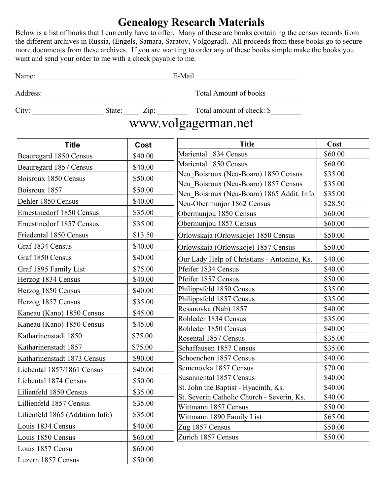## **Genealogy Research Materials**

Below is a list of books that I currently have to offer. Many of these are books containing the census records from the different archives in Russia, (Engels, Samara, Saratov, Volgograd). All proceeds from these books go to secure more documents from these archives. If you are wanting to order any of these books simple make the books you want and send your order to me with a check payable to me.

| $\cdot$<br>$\mathbf{r}$<br>Name:<br>пиан<br>. . |  |
|-------------------------------------------------|--|
|-------------------------------------------------|--|

Address: \_\_\_\_\_\_\_\_\_\_\_\_\_\_\_\_\_\_\_\_\_\_\_\_\_\_\_\_\_\_\_\_\_\_ Total Amount of books \_\_\_\_\_\_\_\_\_

City: \_\_\_\_\_\_\_\_\_\_\_\_\_\_\_\_\_\_\_ State: \_\_\_\_ Zip: \_\_\_\_\_\_\_\_ Total amount of check: \$\_\_\_\_\_\_\_\_

 $\vert$  Luzern 1857 Census  $\vert$  \$50.00  $\vert$ 

|                                  | 000     |                                                      |                    |  |
|----------------------------------|---------|------------------------------------------------------|--------------------|--|
| <b>Title</b>                     | Cost    | <b>Title</b>                                         | Cost               |  |
| Beauregard 1850 Census           | \$40.00 | Mariental 1834 Census                                | \$60.00            |  |
| Beauregard 1857 Census           | \$40.00 | Mariental 1850 Census                                | \$60.00            |  |
| Boisroux 1850 Census             | \$50.00 | Neu Boisroux (Neu-Boaro) 1850 Census                 | \$35.00            |  |
| Boisroux 1857                    | \$50.00 | Neu Boisroux (Neu-Boaro) 1857 Census                 | \$35.00            |  |
| Dehler 1850 Census               | \$40.00 | Neu Boisroux (Neu-Boaro) 1865 Addit. Info            | \$35.00            |  |
| <b>Ernestinedorf 1850 Census</b> | \$35.00 | Neu-Obermunjor 1862 Census<br>Obermunjou 1850 Census | \$28.50<br>\$60.00 |  |
| <b>Ernestinedorf 1857 Census</b> | \$35.00 | Obermunjou 1857 Census                               | \$60.00            |  |
|                                  |         |                                                      |                    |  |
| Friedental 1850 Census           | \$13.50 | Orlowskaja (Orlowskoje) 1850 Census                  | \$50.00            |  |
| Graf 1834 Census                 | \$40.00 | Orlowskaja (Orlowskoje) 1857 Census                  | \$50.00            |  |
| Graf 1850 Census                 | \$40.00 | Our Lady Help of Christians - Antonino, Ks.          | \$40.00            |  |
| Graf 1895 Family List            | \$75.00 | Pfeifer 1834 Census                                  | \$40.00            |  |
| Herzog 1834 Census               | \$40.00 | Pfeifer 1857 Census                                  | \$50.00            |  |
| Herzog 1850 Census               | \$40.00 | Philippsfeld 1850 Census                             | \$35.00            |  |
| Herzog 1857 Census               | \$35.00 | Philippsfeld 1857 Census                             | \$35.00            |  |
| Kaneau (Kano) 1850 Census        | \$45.00 | Resanovka (Nab) 1857                                 | \$40.00            |  |
| Kaneau (Kano) 1850 Census        | \$45.00 | Rohleder 1834 Census                                 | \$35.00            |  |
| Katharinenstadt 1850             | \$75.00 | Rohleder 1850 Census                                 | \$40.00            |  |
| Katharinenstadt 1857             | \$75.00 | Rosental 1857 Census<br>Schaffausen 1857 Census      | \$35.00<br>\$35.00 |  |
| Katharinenstadt 1873 Census      | \$90.00 | Schoenchen 1857 Census                               | \$40.00            |  |
|                                  | \$40.00 | Semenovka 1857 Census                                | \$70.00            |  |
| Liebental 1857/1861 Census       |         | Susannental 1857 Census                              | \$40.00            |  |
| Liebental 1874 Census            | \$50.00 | St. John the Baptist - Hyacinth, Ks.                 | \$40.00            |  |
| Lilienfeld 1850 Census           | \$35.00 | St. Severin Catholic Church - Severin, Ks.           | \$40.00            |  |
| Lillienfeld 1857 Census          | \$35.00 | Wittmann 1857 Census                                 | \$50.00            |  |
| Lilienfeld 1865 (Addition Info)  | \$35.00 | Wittmann 1890 Family List                            | \$65.00            |  |
| Louis 1834 Census                | \$40.00 | Zug 1857 Census                                      | \$50.00            |  |
| Louis 1850 Census                | \$60.00 | Zurich 1857 Census                                   | \$50.00            |  |
| Louis 1857 Censu                 | \$60.00 |                                                      |                    |  |
|                                  |         |                                                      |                    |  |

## www.volgagerman.net